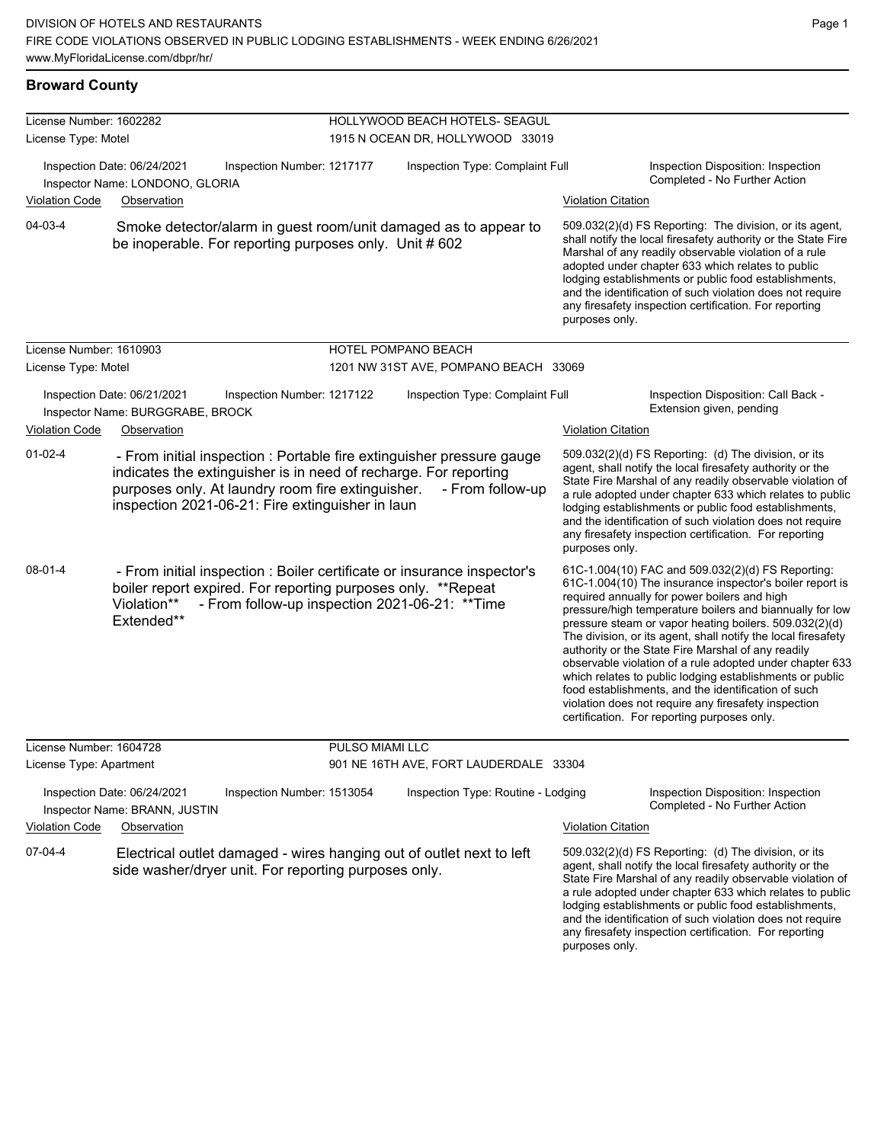and the identification of such violation does not require any firesafety inspection certification. For reporting

purposes only.

| <b>Broward County</b>                                          |                                                                 |                                                                                                                                                                                                                                                    |                                        |                           |                                                                                                                                                                                                                                                                                                                                                                                                                                                                                                                                                                                                                                                                                                  |  |  |  |
|----------------------------------------------------------------|-----------------------------------------------------------------|----------------------------------------------------------------------------------------------------------------------------------------------------------------------------------------------------------------------------------------------------|----------------------------------------|---------------------------|--------------------------------------------------------------------------------------------------------------------------------------------------------------------------------------------------------------------------------------------------------------------------------------------------------------------------------------------------------------------------------------------------------------------------------------------------------------------------------------------------------------------------------------------------------------------------------------------------------------------------------------------------------------------------------------------------|--|--|--|
| License Number: 1602282                                        |                                                                 |                                                                                                                                                                                                                                                    | HOLLYWOOD BEACH HOTELS- SEAGUL         |                           |                                                                                                                                                                                                                                                                                                                                                                                                                                                                                                                                                                                                                                                                                                  |  |  |  |
| License Type: Motel                                            |                                                                 |                                                                                                                                                                                                                                                    | 1915 N OCEAN DR, HOLLYWOOD 33019       |                           |                                                                                                                                                                                                                                                                                                                                                                                                                                                                                                                                                                                                                                                                                                  |  |  |  |
| Inspection Date: 06/24/2021<br>Inspector Name: LONDONO, GLORIA |                                                                 | Inspection Number: 1217177                                                                                                                                                                                                                         | Inspection Type: Complaint Full        |                           | Inspection Disposition: Inspection<br>Completed - No Further Action                                                                                                                                                                                                                                                                                                                                                                                                                                                                                                                                                                                                                              |  |  |  |
| <b>Violation Code</b>                                          | Observation                                                     |                                                                                                                                                                                                                                                    |                                        | <b>Violation Citation</b> |                                                                                                                                                                                                                                                                                                                                                                                                                                                                                                                                                                                                                                                                                                  |  |  |  |
| 04-03-4                                                        |                                                                 | Smoke detector/alarm in guest room/unit damaged as to appear to<br>be inoperable. For reporting purposes only. Unit #602                                                                                                                           |                                        | purposes only.            | 509.032(2)(d) FS Reporting: The division, or its agent,<br>shall notify the local firesafety authority or the State Fire<br>Marshal of any readily observable violation of a rule<br>adopted under chapter 633 which relates to public<br>lodging establishments or public food establishments,<br>and the identification of such violation does not require<br>any firesafety inspection certification. For reporting                                                                                                                                                                                                                                                                           |  |  |  |
| License Number: 1610903                                        |                                                                 |                                                                                                                                                                                                                                                    | HOTEL POMPANO BEACH                    |                           |                                                                                                                                                                                                                                                                                                                                                                                                                                                                                                                                                                                                                                                                                                  |  |  |  |
| License Type: Motel                                            |                                                                 |                                                                                                                                                                                                                                                    | 1201 NW 31ST AVE, POMPANO BEACH 33069  |                           |                                                                                                                                                                                                                                                                                                                                                                                                                                                                                                                                                                                                                                                                                                  |  |  |  |
|                                                                | Inspection Date: 06/21/2021<br>Inspector Name: BURGGRABE, BROCK | Inspection Number: 1217122                                                                                                                                                                                                                         | Inspection Type: Complaint Full        |                           | Inspection Disposition: Call Back -<br>Extension given, pending                                                                                                                                                                                                                                                                                                                                                                                                                                                                                                                                                                                                                                  |  |  |  |
| <b>Violation Code</b>                                          | Observation                                                     |                                                                                                                                                                                                                                                    |                                        | <b>Violation Citation</b> |                                                                                                                                                                                                                                                                                                                                                                                                                                                                                                                                                                                                                                                                                                  |  |  |  |
| $01 - 02 - 4$                                                  |                                                                 | - From initial inspection : Portable fire extinguisher pressure gauge<br>indicates the extinguisher is in need of recharge. For reporting<br>purposes only. At laundry room fire extinguisher.<br>inspection 2021-06-21: Fire extinguisher in laun | - From follow-up                       | purposes only.            | 509.032(2)(d) FS Reporting: (d) The division, or its<br>agent, shall notify the local firesafety authority or the<br>State Fire Marshal of any readily observable violation of<br>a rule adopted under chapter 633 which relates to public<br>lodging establishments or public food establishments,<br>and the identification of such violation does not require<br>any firesafety inspection certification. For reporting                                                                                                                                                                                                                                                                       |  |  |  |
| 08-01-4                                                        | Violation**<br>Extended**                                       | - From initial inspection : Boiler certificate or insurance inspector's<br>boiler report expired. For reporting purposes only. **Repeat<br>- From follow-up inspection 2021-06-21: ** Time                                                         |                                        |                           | 61C-1.004(10) FAC and 509.032(2)(d) FS Reporting:<br>61C-1.004(10) The insurance inspector's boiler report is<br>required annually for power boilers and high<br>pressure/high temperature boilers and biannually for low<br>pressure steam or vapor heating boilers. 509.032(2)(d)<br>The division, or its agent, shall notify the local firesafety<br>authority or the State Fire Marshal of any readily<br>observable violation of a rule adopted under chapter 633<br>which relates to public lodging establishments or public<br>food establishments, and the identification of such<br>violation does not require any firesafety inspection<br>certification. For reporting purposes only. |  |  |  |
| License Number: 1604728                                        |                                                                 | PULSO MIAMI LLC                                                                                                                                                                                                                                    |                                        |                           |                                                                                                                                                                                                                                                                                                                                                                                                                                                                                                                                                                                                                                                                                                  |  |  |  |
| License Type: Apartment                                        |                                                                 |                                                                                                                                                                                                                                                    | 901 NE 16TH AVE, FORT LAUDERDALE 33304 |                           |                                                                                                                                                                                                                                                                                                                                                                                                                                                                                                                                                                                                                                                                                                  |  |  |  |
|                                                                | Inspection Date: 06/24/2021<br>Inspector Name: BRANN, JUSTIN    | Inspection Number: 1513054                                                                                                                                                                                                                         | Inspection Type: Routine - Lodging     |                           | Inspection Disposition: Inspection<br>Completed - No Further Action                                                                                                                                                                                                                                                                                                                                                                                                                                                                                                                                                                                                                              |  |  |  |
| <b>Violation Code</b>                                          | Observation                                                     |                                                                                                                                                                                                                                                    |                                        | <b>Violation Citation</b> |                                                                                                                                                                                                                                                                                                                                                                                                                                                                                                                                                                                                                                                                                                  |  |  |  |
| 07-04-4                                                        |                                                                 | Electrical outlet damaged - wires hanging out of outlet next to left<br>side washer/dryer unit. For reporting purposes only.                                                                                                                       |                                        |                           | 509.032(2)(d) FS Reporting: (d) The division, or its<br>agent, shall notify the local firesafety authority or the<br>State Fire Marshal of any readily observable violation of<br>a rule adopted under chapter 633 which relates to public<br>lodging establishments or public food establishments,                                                                                                                                                                                                                                                                                                                                                                                              |  |  |  |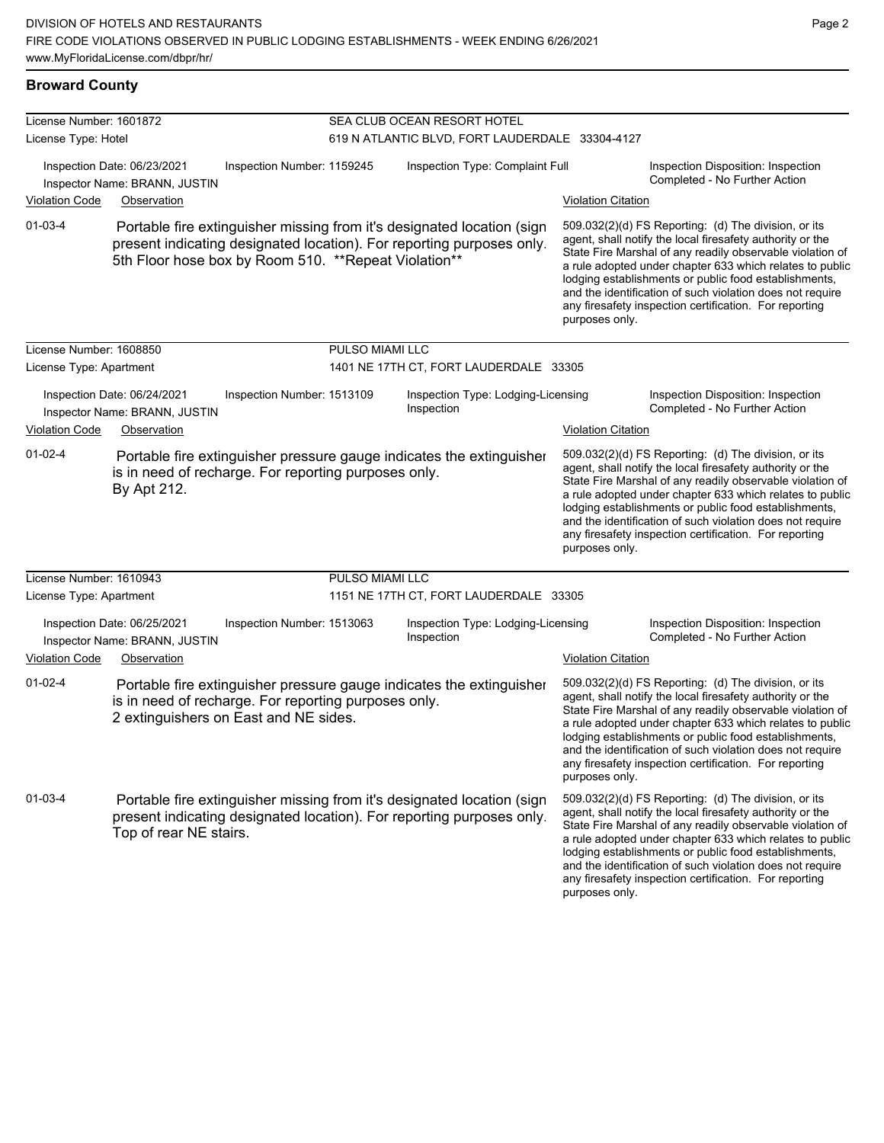**Broward County**

| License Number: 1601872 |                                                                                                                                                                                                          |                        | SEA CLUB OCEAN RESORT HOTEL                      |                           |                                                                                                                                                                                                                                                                                                                                                                                                                            |  |  |
|-------------------------|----------------------------------------------------------------------------------------------------------------------------------------------------------------------------------------------------------|------------------------|--------------------------------------------------|---------------------------|----------------------------------------------------------------------------------------------------------------------------------------------------------------------------------------------------------------------------------------------------------------------------------------------------------------------------------------------------------------------------------------------------------------------------|--|--|
| License Type: Hotel     |                                                                                                                                                                                                          |                        | 619 N ATLANTIC BLVD, FORT LAUDERDALE 33304-4127  |                           |                                                                                                                                                                                                                                                                                                                                                                                                                            |  |  |
|                         | Inspection Date: 06/23/2021<br>Inspection Number: 1159245<br>Inspector Name: BRANN, JUSTIN                                                                                                               |                        | Inspection Type: Complaint Full                  |                           | Inspection Disposition: Inspection<br>Completed - No Further Action                                                                                                                                                                                                                                                                                                                                                        |  |  |
| <b>Violation Code</b>   | Observation                                                                                                                                                                                              |                        |                                                  | <b>Violation Citation</b> |                                                                                                                                                                                                                                                                                                                                                                                                                            |  |  |
| $01 - 03 - 4$           | Portable fire extinguisher missing from it's designated location (sign<br>present indicating designated location). For reporting purposes only.<br>5th Floor hose box by Room 510. ** Repeat Violation** |                        |                                                  | purposes only.            | 509.032(2)(d) FS Reporting: (d) The division, or its<br>agent, shall notify the local firesafety authority or the<br>State Fire Marshal of any readily observable violation of<br>a rule adopted under chapter 633 which relates to public<br>lodging establishments or public food establishments,<br>and the identification of such violation does not require<br>any firesafety inspection certification. For reporting |  |  |
| License Number: 1608850 |                                                                                                                                                                                                          | <b>PULSO MIAMI LLC</b> |                                                  |                           |                                                                                                                                                                                                                                                                                                                                                                                                                            |  |  |
| License Type: Apartment |                                                                                                                                                                                                          |                        | 1401 NE 17TH CT, FORT LAUDERDALE 33305           |                           |                                                                                                                                                                                                                                                                                                                                                                                                                            |  |  |
|                         | Inspection Date: 06/24/2021<br>Inspection Number: 1513109<br>Inspector Name: BRANN, JUSTIN                                                                                                               |                        | Inspection Type: Lodging-Licensing<br>Inspection |                           | Inspection Disposition: Inspection<br>Completed - No Further Action                                                                                                                                                                                                                                                                                                                                                        |  |  |
| <b>Violation Code</b>   | Observation                                                                                                                                                                                              |                        |                                                  | <b>Violation Citation</b> |                                                                                                                                                                                                                                                                                                                                                                                                                            |  |  |
| $01 - 02 - 4$           | Portable fire extinguisher pressure gauge indicates the extinguisher<br>is in need of recharge. For reporting purposes only.<br>By Apt 212.                                                              |                        |                                                  | purposes only.            | 509.032(2)(d) FS Reporting: (d) The division, or its<br>agent, shall notify the local firesafety authority or the<br>State Fire Marshal of any readily observable violation of<br>a rule adopted under chapter 633 which relates to public<br>lodging establishments or public food establishments,<br>and the identification of such violation does not require<br>any firesafety inspection certification. For reporting |  |  |
| License Number: 1610943 |                                                                                                                                                                                                          | PULSO MIAMI LLC        |                                                  |                           |                                                                                                                                                                                                                                                                                                                                                                                                                            |  |  |
| License Type: Apartment |                                                                                                                                                                                                          |                        | 1151 NE 17TH CT, FORT LAUDERDALE 33305           |                           |                                                                                                                                                                                                                                                                                                                                                                                                                            |  |  |
|                         | Inspection Date: 06/25/2021<br>Inspection Number: 1513063<br>Inspector Name: BRANN, JUSTIN                                                                                                               |                        | Inspection Type: Lodging-Licensing<br>Inspection |                           | Inspection Disposition: Inspection<br>Completed - No Further Action                                                                                                                                                                                                                                                                                                                                                        |  |  |
| <b>Violation Code</b>   | Observation                                                                                                                                                                                              |                        |                                                  | <b>Violation Citation</b> |                                                                                                                                                                                                                                                                                                                                                                                                                            |  |  |
| $01 - 02 - 4$           | Portable fire extinguisher pressure gauge indicates the extinguisher<br>is in need of recharge. For reporting purposes only.<br>2 extinguishers on East and NE sides.                                    |                        |                                                  | purposes only.            | 509.032(2)(d) FS Reporting: (d) The division, or its<br>agent, shall notify the local firesafety authority or the<br>State Fire Marshal of any readily observable violation of<br>a rule adopted under chapter 633 which relates to public<br>lodging establishments or public food establishments,<br>and the identification of such violation does not require<br>any firesafety inspection certification. For reporting |  |  |
| $01 - 03 - 4$           | Portable fire extinguisher missing from it's designated location (sign<br>present indicating designated location). For reporting purposes only.<br>Top of rear NE stairs.                                |                        |                                                  |                           | 509.032(2)(d) FS Reporting: (d) The division, or its<br>agent, shall notify the local firesafety authority or the<br>State Fire Marshal of any readily observable violation of<br>a rule adopted under chapter 633 which relates to public<br>lodging establishments or public food establishments,<br>and the identification of such violation does not require<br>any firesafety inspection certification. For reporting |  |  |

purposes only.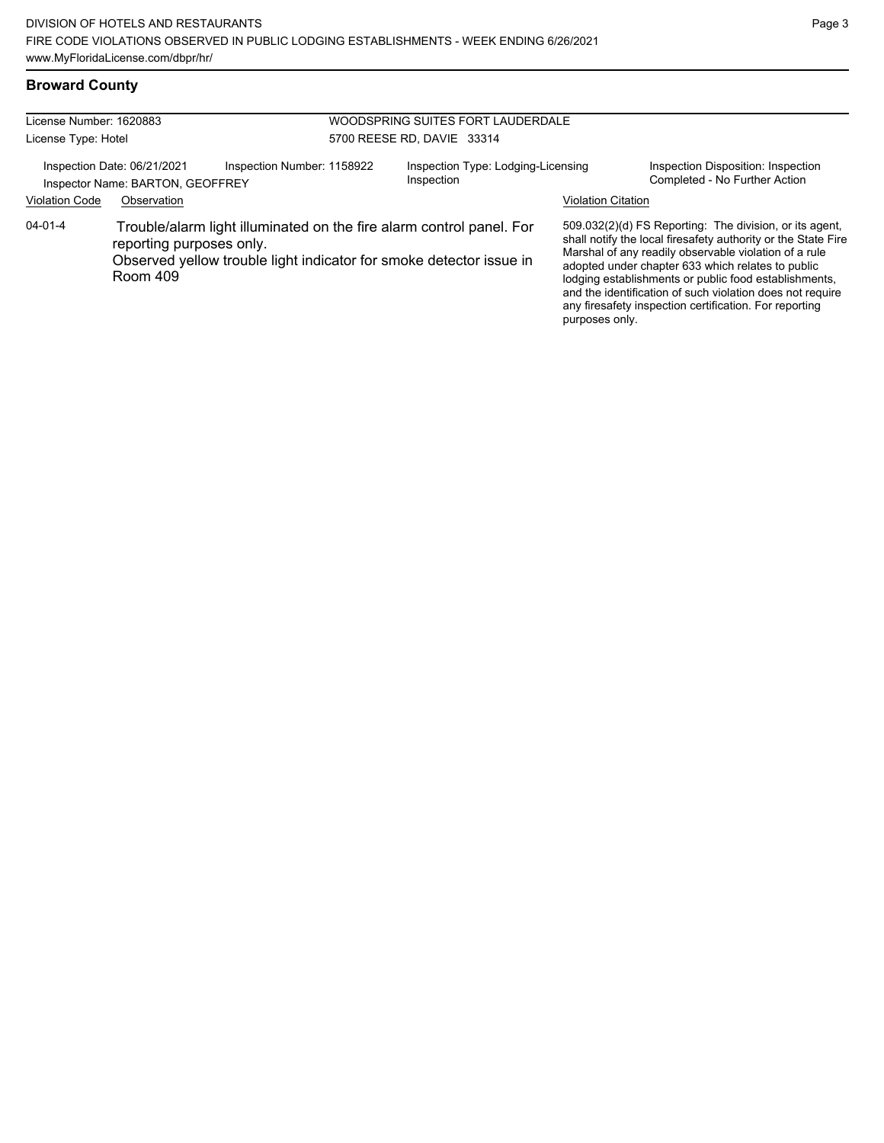## **Broward County**

| License Number: 1620883<br>License Type: Hotel |                                                                 |                                                                                                                                             | WOODSPRING SUITES FORT LAUDERDALE<br>5700 REESE RD. DAVIE 33314 |                                                  |                           |                                                                                                                                                                                                                                                                                                                                                                                                                        |
|------------------------------------------------|-----------------------------------------------------------------|---------------------------------------------------------------------------------------------------------------------------------------------|-----------------------------------------------------------------|--------------------------------------------------|---------------------------|------------------------------------------------------------------------------------------------------------------------------------------------------------------------------------------------------------------------------------------------------------------------------------------------------------------------------------------------------------------------------------------------------------------------|
|                                                | Inspection Date: 06/21/2021<br>Inspector Name: BARTON, GEOFFREY | Inspection Number: 1158922                                                                                                                  |                                                                 | Inspection Type: Lodging-Licensing<br>Inspection |                           | Inspection Disposition: Inspection<br>Completed - No Further Action                                                                                                                                                                                                                                                                                                                                                    |
| <b>Violation Code</b>                          | Observation                                                     |                                                                                                                                             |                                                                 |                                                  | <b>Violation Citation</b> |                                                                                                                                                                                                                                                                                                                                                                                                                        |
| $04 - 01 - 4$                                  | reporting purposes only.<br>Room 409                            | Trouble/alarm light illuminated on the fire alarm control panel. For<br>Observed yellow trouble light indicator for smoke detector issue in |                                                                 |                                                  | purposes only.            | 509.032(2)(d) FS Reporting: The division, or its agent,<br>shall notify the local firesafety authority or the State Fire<br>Marshal of any readily observable violation of a rule<br>adopted under chapter 633 which relates to public<br>lodging establishments or public food establishments,<br>and the identification of such violation does not require<br>any firesafety inspection certification. For reporting |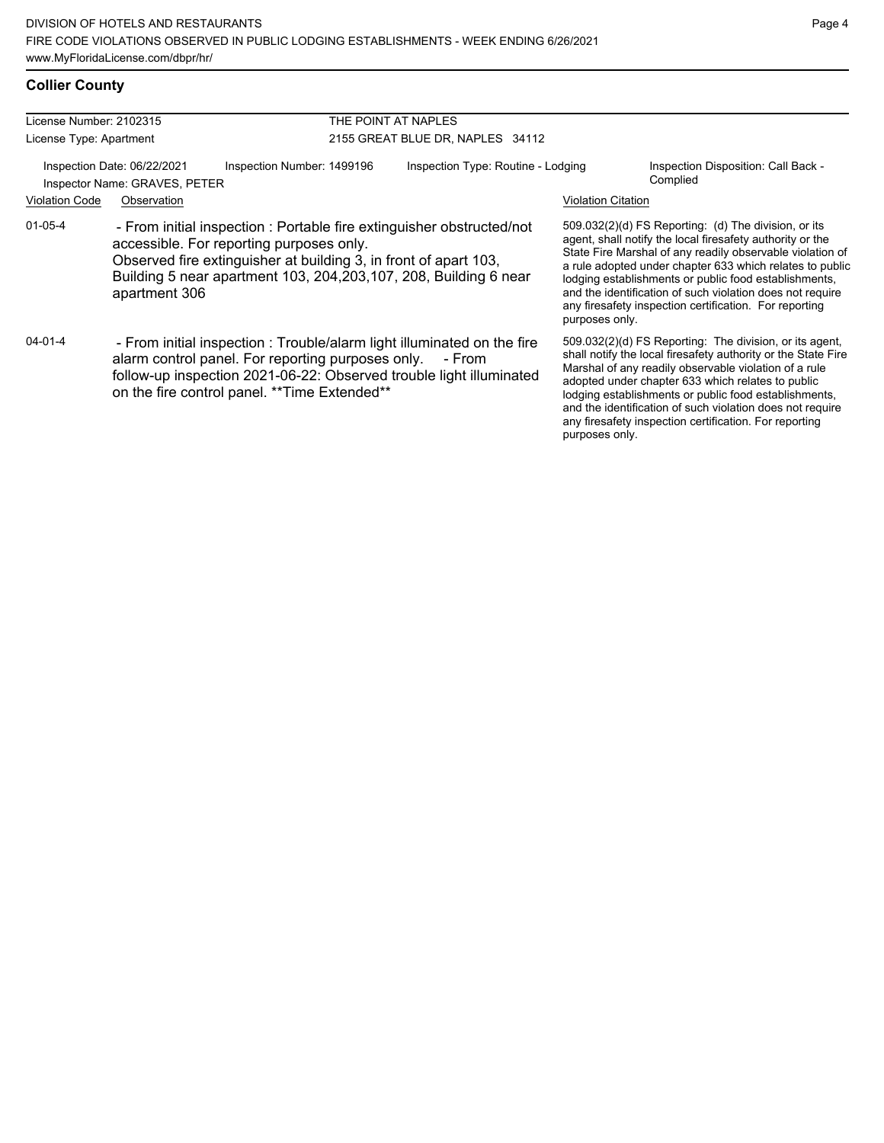## **Collier County**

| License Number: 2102315 |                                                              |                                                                                                                                                                                                                                                             | THE POINT AT NAPLES                |                           |                                                                                                                                                                                                                                                                                                                                                                                                                              |
|-------------------------|--------------------------------------------------------------|-------------------------------------------------------------------------------------------------------------------------------------------------------------------------------------------------------------------------------------------------------------|------------------------------------|---------------------------|------------------------------------------------------------------------------------------------------------------------------------------------------------------------------------------------------------------------------------------------------------------------------------------------------------------------------------------------------------------------------------------------------------------------------|
| License Type: Apartment |                                                              |                                                                                                                                                                                                                                                             | 2155 GREAT BLUE DR, NAPLES 34112   |                           |                                                                                                                                                                                                                                                                                                                                                                                                                              |
|                         | Inspection Date: 06/22/2021<br>Inspector Name: GRAVES, PETER | Inspection Number: 1499196                                                                                                                                                                                                                                  | Inspection Type: Routine - Lodging |                           | Inspection Disposition: Call Back -<br>Complied                                                                                                                                                                                                                                                                                                                                                                              |
| <b>Violation Code</b>   | Observation                                                  |                                                                                                                                                                                                                                                             |                                    | <b>Violation Citation</b> |                                                                                                                                                                                                                                                                                                                                                                                                                              |
| $01 - 05 - 4$           | apartment 306                                                | - From initial inspection : Portable fire extinguisher obstructed/not<br>accessible. For reporting purposes only.<br>Observed fire extinguisher at building 3, in front of apart 103,<br>Building 5 near apartment 103, 204, 203, 107, 208, Building 6 near |                                    | purposes only.            | $509.032(2)(d)$ FS Reporting: (d) The division, or its<br>agent, shall notify the local firesafety authority or the<br>State Fire Marshal of any readily observable violation of<br>a rule adopted under chapter 633 which relates to public<br>lodging establishments or public food establishments,<br>and the identification of such violation does not require<br>any firesafety inspection certification. For reporting |
| 04-01-4                 |                                                              | - From initial inspection: Trouble/alarm light illuminated on the fire<br>alarm control panel. For reporting purposes only.<br>follow-up inspection 2021-06-22: Observed trouble light illuminated<br>on the fire control panel. ** Time Extended**         | - From                             | purposes only.            | 509.032(2)(d) FS Reporting: The division, or its agent,<br>shall notify the local firesafety authority or the State Fire<br>Marshal of any readily observable violation of a rule<br>adopted under chapter 633 which relates to public<br>lodging establishments or public food establishments,<br>and the identification of such violation does not require<br>any firesafety inspection certification. For reporting       |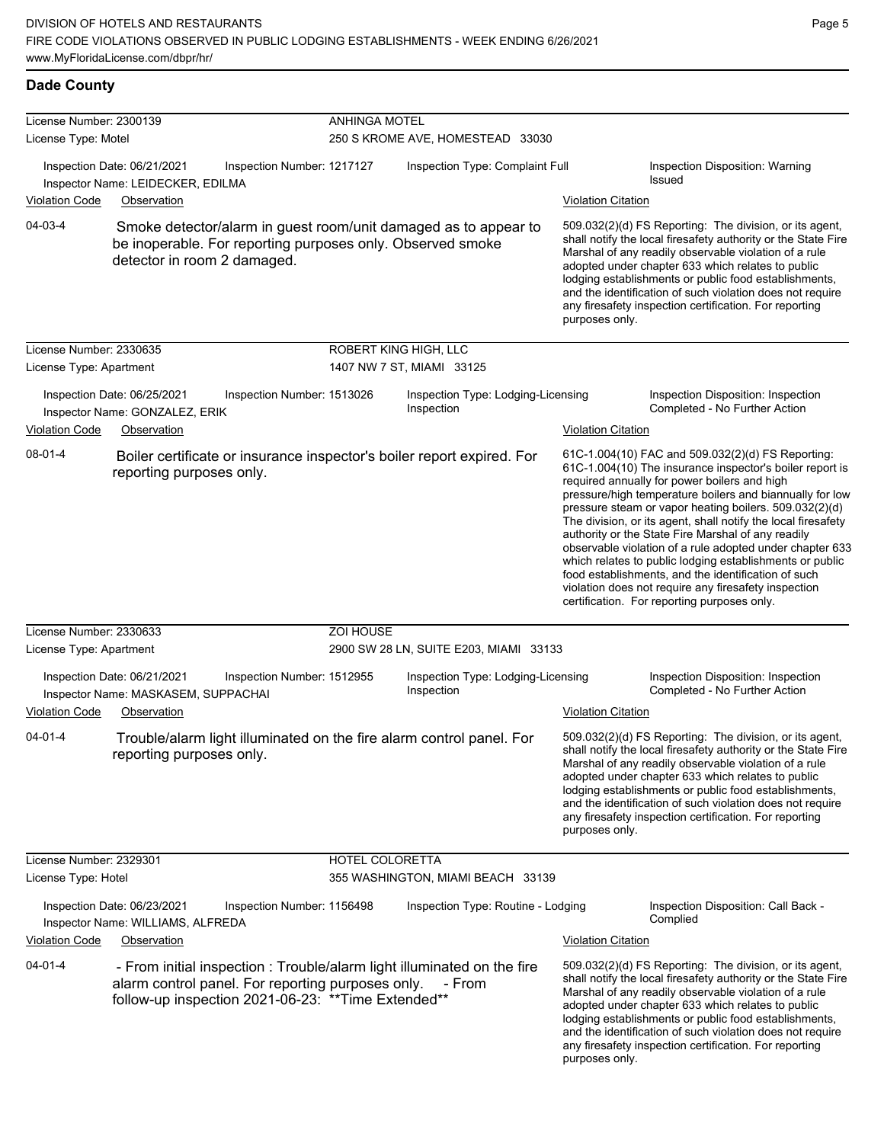### **Dade County**

| License Number: 2300139                                                                                                             |                                                                                                                                                                                     | <b>ANHINGA MOTEL</b> |                                                    |                           |                                                                                                                                                                                                                                                                                                                                                                                                                                                                                                                                                                                                                                                                                                  |  |  |  |
|-------------------------------------------------------------------------------------------------------------------------------------|-------------------------------------------------------------------------------------------------------------------------------------------------------------------------------------|----------------------|----------------------------------------------------|---------------------------|--------------------------------------------------------------------------------------------------------------------------------------------------------------------------------------------------------------------------------------------------------------------------------------------------------------------------------------------------------------------------------------------------------------------------------------------------------------------------------------------------------------------------------------------------------------------------------------------------------------------------------------------------------------------------------------------------|--|--|--|
| License Type: Motel                                                                                                                 |                                                                                                                                                                                     |                      | 250 S KROME AVE, HOMESTEAD 33030                   |                           |                                                                                                                                                                                                                                                                                                                                                                                                                                                                                                                                                                                                                                                                                                  |  |  |  |
|                                                                                                                                     | Inspection Date: 06/21/2021<br>Inspection Number: 1217127<br>Inspector Name: LEIDECKER, EDILMA                                                                                      |                      | Inspection Type: Complaint Full                    |                           | Inspection Disposition: Warning<br>Issued                                                                                                                                                                                                                                                                                                                                                                                                                                                                                                                                                                                                                                                        |  |  |  |
| Violation Code                                                                                                                      | Observation                                                                                                                                                                         |                      |                                                    | <b>Violation Citation</b> |                                                                                                                                                                                                                                                                                                                                                                                                                                                                                                                                                                                                                                                                                                  |  |  |  |
| 04-03-4                                                                                                                             | Smoke detector/alarm in guest room/unit damaged as to appear to<br>be inoperable. For reporting purposes only. Observed smoke<br>detector in room 2 damaged.                        |                      |                                                    | purposes only.            | 509.032(2)(d) FS Reporting: The division, or its agent,<br>shall notify the local firesafety authority or the State Fire<br>Marshal of any readily observable violation of a rule<br>adopted under chapter 633 which relates to public<br>lodging establishments or public food establishments,<br>and the identification of such violation does not require<br>any firesafety inspection certification. For reporting                                                                                                                                                                                                                                                                           |  |  |  |
| License Number: 2330635<br>License Type: Apartment                                                                                  |                                                                                                                                                                                     |                      | ROBERT KING HIGH, LLC<br>1407 NW 7 ST, MIAMI 33125 |                           |                                                                                                                                                                                                                                                                                                                                                                                                                                                                                                                                                                                                                                                                                                  |  |  |  |
| Inspection Date: 06/25/2021<br>Inspection Number: 1513026<br>Inspector Name: GONZALEZ, ERIK<br><b>Violation Code</b><br>Observation |                                                                                                                                                                                     |                      | Inspection Type: Lodging-Licensing<br>Inspection   | <b>Violation Citation</b> | Inspection Disposition: Inspection<br>Completed - No Further Action                                                                                                                                                                                                                                                                                                                                                                                                                                                                                                                                                                                                                              |  |  |  |
| $08 - 01 - 4$                                                                                                                       | Boiler certificate or insurance inspector's boiler report expired. For<br>reporting purposes only.                                                                                  |                      |                                                    |                           | 61C-1.004(10) FAC and 509.032(2)(d) FS Reporting:<br>61C-1.004(10) The insurance inspector's boiler report is<br>required annually for power boilers and high<br>pressure/high temperature boilers and biannually for low<br>pressure steam or vapor heating boilers. 509.032(2)(d)<br>The division, or its agent, shall notify the local firesafety<br>authority or the State Fire Marshal of any readily<br>observable violation of a rule adopted under chapter 633<br>which relates to public lodging establishments or public<br>food establishments, and the identification of such<br>violation does not require any firesafety inspection<br>certification. For reporting purposes only. |  |  |  |
| License Number: 2330633                                                                                                             |                                                                                                                                                                                     | <b>ZOI HOUSE</b>     |                                                    |                           |                                                                                                                                                                                                                                                                                                                                                                                                                                                                                                                                                                                                                                                                                                  |  |  |  |
| License Type: Apartment                                                                                                             |                                                                                                                                                                                     |                      | 2900 SW 28 LN, SUITE E203, MIAMI 33133             |                           |                                                                                                                                                                                                                                                                                                                                                                                                                                                                                                                                                                                                                                                                                                  |  |  |  |
| Violation Code                                                                                                                      | Inspection Date: 06/21/2021<br>Inspection Number: 1512955<br>Inspector Name: MASKASEM, SUPPACHAI<br>Observation                                                                     |                      | Inspection Type: Lodging-Licensing<br>Inspection   | <b>Violation Citation</b> | Inspection Disposition: Inspection<br>Completed - No Further Action                                                                                                                                                                                                                                                                                                                                                                                                                                                                                                                                                                                                                              |  |  |  |
| 04-01-4                                                                                                                             | Trouble/alarm light illuminated on the fire alarm control panel. For<br>reporting purposes only.                                                                                    |                      |                                                    | purposes only.            | 509.032(2)(d) FS Reporting: The division, or its agent,<br>shall notify the local firesafety authority or the State Fire<br>Marshal of any readily observable violation of a rule<br>adopted under chapter 633 which relates to public<br>lodging establishments or public food establishments,<br>and the identification of such violation does not require<br>any firesafety inspection certification. For reporting                                                                                                                                                                                                                                                                           |  |  |  |
| License Number: 2329301                                                                                                             |                                                                                                                                                                                     | HOTEL COLORETTA      |                                                    |                           |                                                                                                                                                                                                                                                                                                                                                                                                                                                                                                                                                                                                                                                                                                  |  |  |  |
| License Type: Hotel                                                                                                                 |                                                                                                                                                                                     |                      | 355 WASHINGTON, MIAMI BEACH 33139                  |                           |                                                                                                                                                                                                                                                                                                                                                                                                                                                                                                                                                                                                                                                                                                  |  |  |  |
|                                                                                                                                     | Inspection Date: 06/23/2021<br>Inspection Number: 1156498<br>Inspector Name: WILLIAMS, ALFREDA                                                                                      |                      | Inspection Type: Routine - Lodging                 |                           | Inspection Disposition: Call Back -<br>Complied                                                                                                                                                                                                                                                                                                                                                                                                                                                                                                                                                                                                                                                  |  |  |  |
| <b>Violation Code</b>                                                                                                               | Observation                                                                                                                                                                         |                      |                                                    | <b>Violation Citation</b> |                                                                                                                                                                                                                                                                                                                                                                                                                                                                                                                                                                                                                                                                                                  |  |  |  |
| $04 - 01 - 4$                                                                                                                       | - From initial inspection : Trouble/alarm light illuminated on the fire<br>alarm control panel. For reporting purposes only.<br>follow-up inspection 2021-06-23: ** Time Extended** |                      | - From                                             | purposes only.            | 509.032(2)(d) FS Reporting: The division, or its agent,<br>shall notify the local firesafety authority or the State Fire<br>Marshal of any readily observable violation of a rule<br>adopted under chapter 633 which relates to public<br>lodging establishments or public food establishments,<br>and the identification of such violation does not require<br>any firesafety inspection certification. For reporting                                                                                                                                                                                                                                                                           |  |  |  |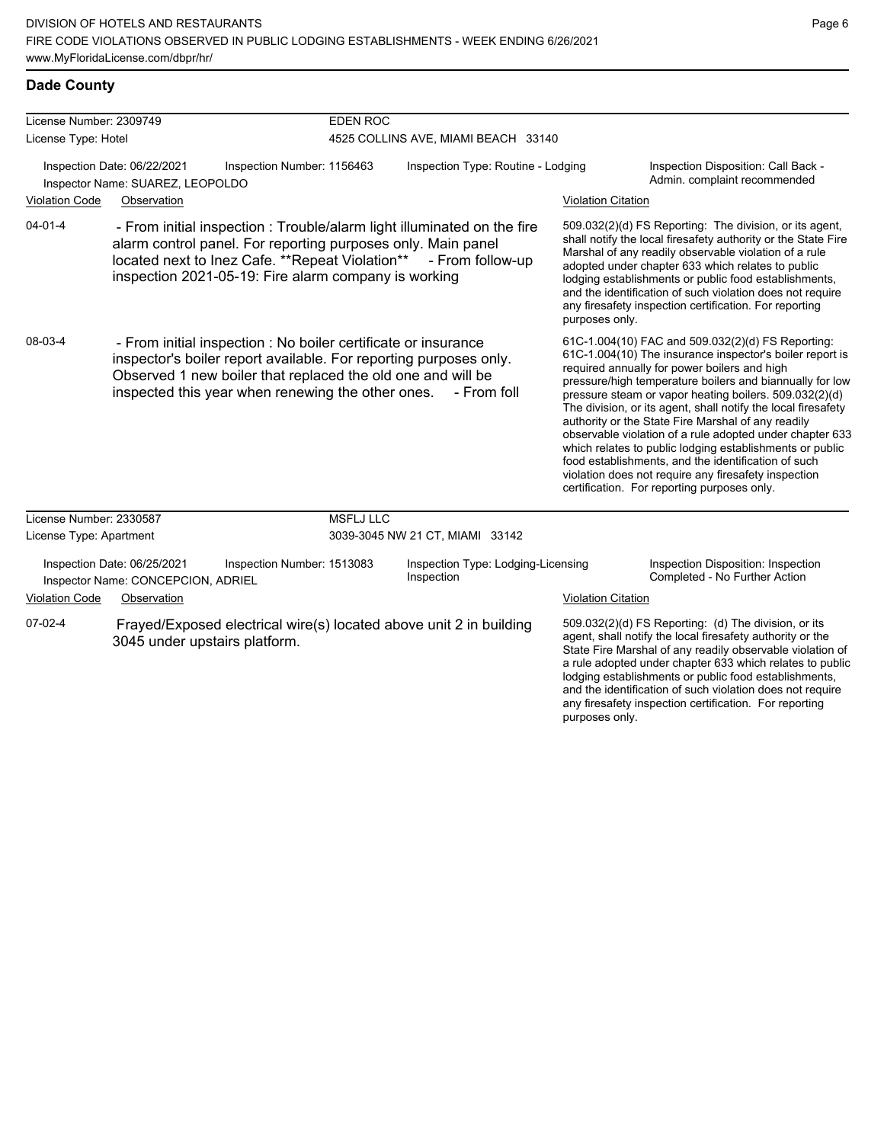any firesafety inspection certification. For reporting

purposes only.

### **Dade County**

| License Number: 2309749                                         |                                                                   |                                                                                                                                                                                                                                                         | <b>EDEN ROC</b>                     |                                                                                                                                             |                           |                                                                                                                                                                                                                                                                                                                                                                                                                                                                                                                                                                                                                                                                                                  |  |
|-----------------------------------------------------------------|-------------------------------------------------------------------|---------------------------------------------------------------------------------------------------------------------------------------------------------------------------------------------------------------------------------------------------------|-------------------------------------|---------------------------------------------------------------------------------------------------------------------------------------------|---------------------------|--------------------------------------------------------------------------------------------------------------------------------------------------------------------------------------------------------------------------------------------------------------------------------------------------------------------------------------------------------------------------------------------------------------------------------------------------------------------------------------------------------------------------------------------------------------------------------------------------------------------------------------------------------------------------------------------------|--|
| License Type: Hotel                                             |                                                                   |                                                                                                                                                                                                                                                         | 4525 COLLINS AVE, MIAMI BEACH 33140 |                                                                                                                                             |                           |                                                                                                                                                                                                                                                                                                                                                                                                                                                                                                                                                                                                                                                                                                  |  |
| Inspection Date: 06/22/2021<br>Inspector Name: SUAREZ, LEOPOLDO |                                                                   | Inspection Number: 1156463                                                                                                                                                                                                                              | Inspection Type: Routine - Lodging  |                                                                                                                                             |                           | Inspection Disposition: Call Back -<br>Admin. complaint recommended                                                                                                                                                                                                                                                                                                                                                                                                                                                                                                                                                                                                                              |  |
| <b>Violation Code</b>                                           | Observation                                                       |                                                                                                                                                                                                                                                         |                                     |                                                                                                                                             | <b>Violation Citation</b> |                                                                                                                                                                                                                                                                                                                                                                                                                                                                                                                                                                                                                                                                                                  |  |
| $04 - 01 - 4$                                                   |                                                                   | alarm control panel. For reporting purposes only. Main panel<br>inspection 2021-05-19: Fire alarm company is working                                                                                                                                    |                                     | - From initial inspection : Trouble/alarm light illuminated on the fire<br>located next to lnez Cafe. **Repeat Violation** - From follow-up | purposes only.            | 509.032(2)(d) FS Reporting: The division, or its agent,<br>shall notify the local firesafety authority or the State Fire<br>Marshal of any readily observable violation of a rule<br>adopted under chapter 633 which relates to public<br>lodging establishments or public food establishments,<br>and the identification of such violation does not require<br>any firesafety inspection certification. For reporting                                                                                                                                                                                                                                                                           |  |
| 08-03-4                                                         |                                                                   | - From initial inspection : No boiler certificate or insurance<br>inspector's boiler report available. For reporting purposes only.<br>Observed 1 new boiler that replaced the old one and will be<br>inspected this year when renewing the other ones. |                                     | - From foll                                                                                                                                 |                           | 61C-1.004(10) FAC and 509.032(2)(d) FS Reporting:<br>61C-1.004(10) The insurance inspector's boiler report is<br>required annually for power boilers and high<br>pressure/high temperature boilers and biannually for low<br>pressure steam or vapor heating boilers. 509.032(2)(d)<br>The division, or its agent, shall notify the local firesafety<br>authority or the State Fire Marshal of any readily<br>observable violation of a rule adopted under chapter 633<br>which relates to public lodging establishments or public<br>food establishments, and the identification of such<br>violation does not require any firesafety inspection<br>certification. For reporting purposes only. |  |
| License Number: 2330587                                         |                                                                   |                                                                                                                                                                                                                                                         | <b>MSFLJ LLC</b>                    |                                                                                                                                             |                           |                                                                                                                                                                                                                                                                                                                                                                                                                                                                                                                                                                                                                                                                                                  |  |
| License Type: Apartment                                         |                                                                   |                                                                                                                                                                                                                                                         |                                     | 3039-3045 NW 21 CT, MIAMI 33142                                                                                                             |                           |                                                                                                                                                                                                                                                                                                                                                                                                                                                                                                                                                                                                                                                                                                  |  |
|                                                                 | Inspection Date: 06/25/2021<br>Inspector Name: CONCEPCION, ADRIEL | Inspection Number: 1513083                                                                                                                                                                                                                              |                                     | Inspection Type: Lodging-Licensing<br>Inspection                                                                                            |                           | Inspection Disposition: Inspection<br>Completed - No Further Action                                                                                                                                                                                                                                                                                                                                                                                                                                                                                                                                                                                                                              |  |
| <b>Violation Code</b>                                           | Observation                                                       |                                                                                                                                                                                                                                                         |                                     |                                                                                                                                             | <b>Violation Citation</b> |                                                                                                                                                                                                                                                                                                                                                                                                                                                                                                                                                                                                                                                                                                  |  |
| $07-02-4$                                                       |                                                                   | 3045 under upstairs platform.                                                                                                                                                                                                                           |                                     | Frayed/Exposed electrical wire(s) located above unit 2 in building                                                                          |                           | 509.032(2)(d) FS Reporting: (d) The division, or its<br>agent, shall notify the local firesafety authority or the<br>State Fire Marshal of any readily observable violation of<br>a rule adopted under chapter 633 which relates to public<br>lodging establishments or public food establishments,<br>and the identification of such violation does not require                                                                                                                                                                                                                                                                                                                                 |  |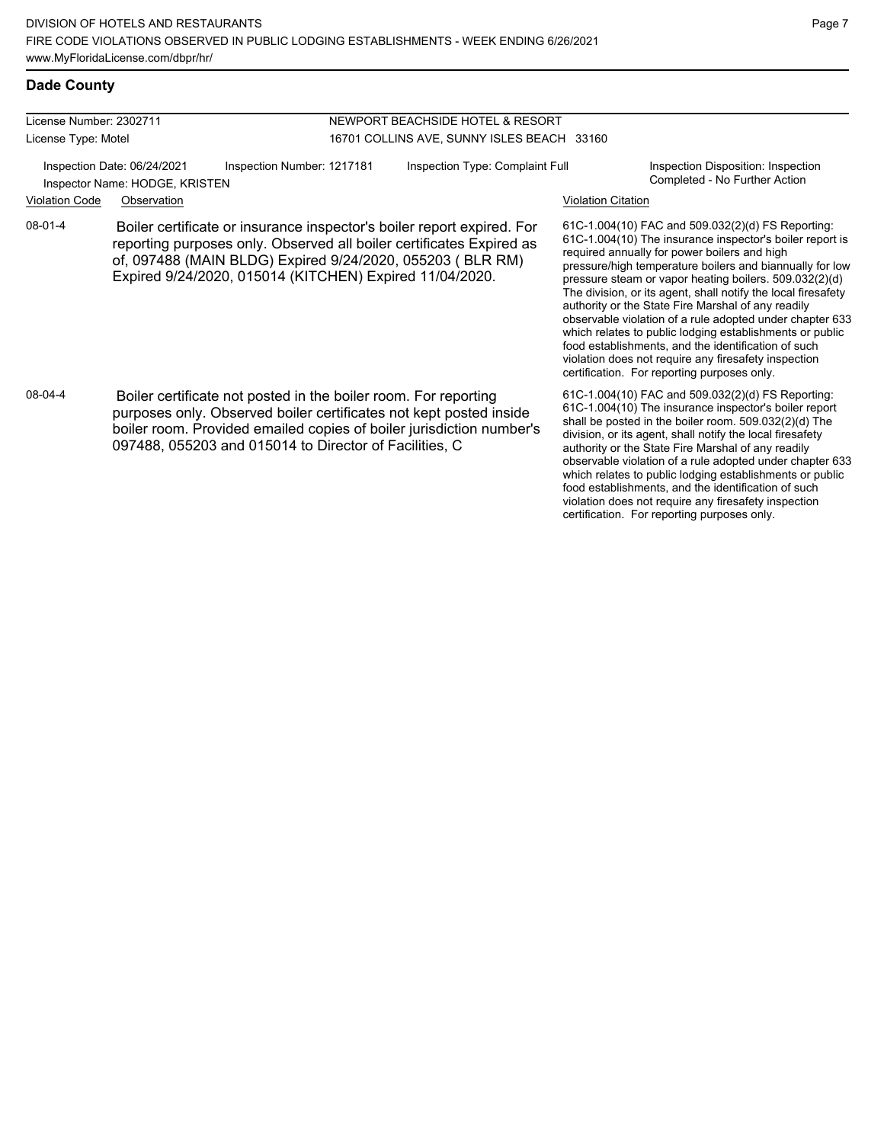#### License Number: 2302711 License Type: Motel NEWPORT BEACHSIDE HOTEL & RESORT 16701 COLLINS AVE, SUNNY ISLES BEACH 33160 Inspection Date: 06/24/2021 Inspection Number: 1217181 Inspection Type: Complaint Full Inspection Disposition: Inspection Completed - No Further Action Inspector Name: HODGE, KRISTEN Violation Code Observation Violation Citation 61C-1.004(10) FAC and 509.032(2)(d) FS Reporting: 61C-1.004(10) The insurance inspector's boiler report is required annually for power boilers and high pressure/high temperature boilers and biannually for low pressure steam or vapor heating boilers. 509.032(2)(d) The division, or its agent, shall notify the local firesafety authority or the State Fire Marshal of any readily observable violation of a rule adopted under chapter 633 which relates to public lodging establishments or public food establishments, and the identification of such violation does not require any firesafety inspection certification. For reporting purposes only. 08-01-4 Boiler certificate or insurance inspector's boiler report expired. For reporting purposes only. Observed all boiler certificates Expired as of, 097488 (MAIN BLDG) Expired 9/24/2020, 055203 ( BLR RM) Expired 9/24/2020, 015014 (KITCHEN) Expired 11/04/2020. 61C-1.004(10) FAC and 509.032(2)(d) FS Reporting: 61C-1.004(10) The insurance inspector's boiler report shall be posted in the boiler room. 509.032(2)(d) The division, or its agent, shall notify the local firesafety authority or the State Fire Marshal of any readily observable violation of a rule adopted under chapter 633 08-04-4 Boiler certificate not posted in the boiler room. For reporting purposes only. Observed boiler certificates not kept posted inside boiler room. Provided emailed copies of boiler jurisdiction number's 097488, 055203 and 015014 to Director of Facilities, C

which relates to public lodging establishments or public food establishments, and the identification of such violation does not require any firesafety inspection certification. For reporting purposes only.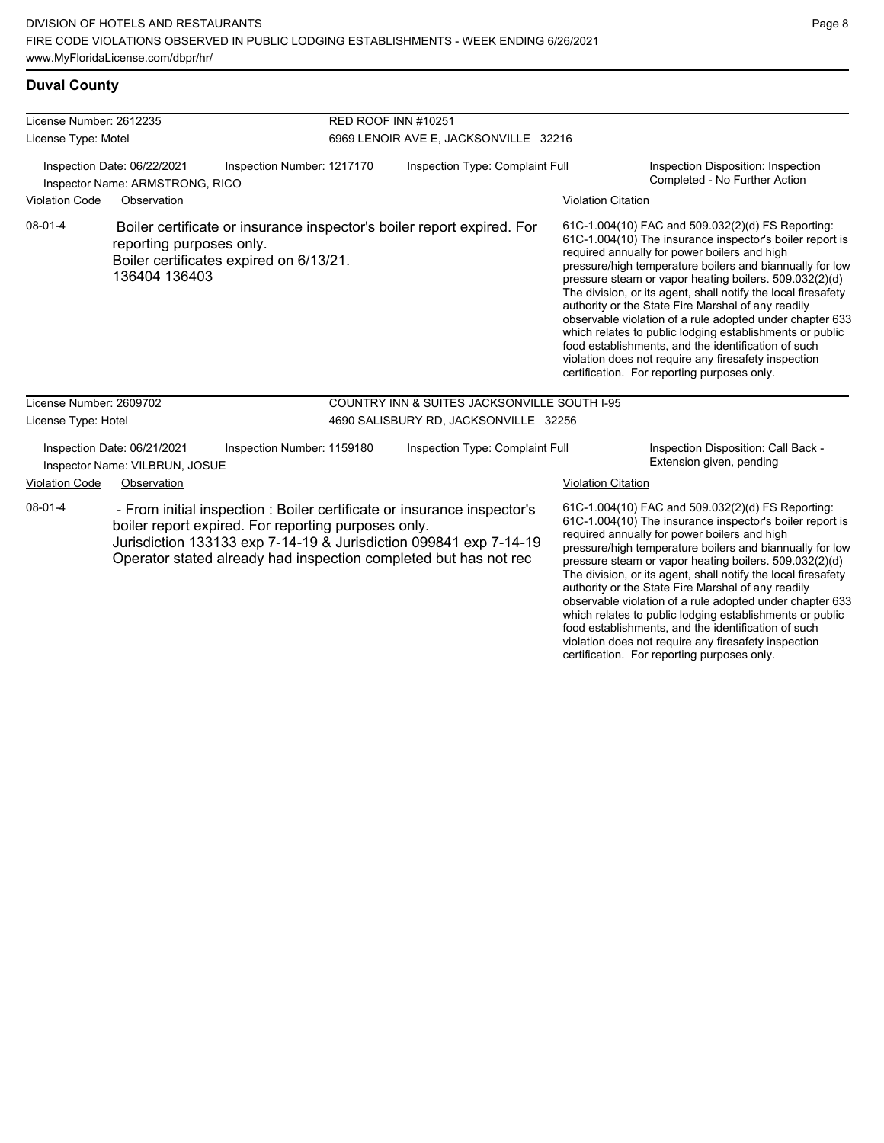### **Duval County**

| License Number: 2612235<br>License Type: Motel<br>Inspection Number: 1217170<br>Inspection Date: 06/22/2021<br>Inspector Name: ARMSTRONG, RICO |                                                               |                                                     | <b>RED ROOF INN #10251</b>      | 6969 LENOIR AVE E, JACKSONVILLE 32216                                                                                                                                                                            |                           |                                                                                                                                                                                                                                                                                                                                                                                                                                                                                                                                                                                                                                                                                                  |
|------------------------------------------------------------------------------------------------------------------------------------------------|---------------------------------------------------------------|-----------------------------------------------------|---------------------------------|------------------------------------------------------------------------------------------------------------------------------------------------------------------------------------------------------------------|---------------------------|--------------------------------------------------------------------------------------------------------------------------------------------------------------------------------------------------------------------------------------------------------------------------------------------------------------------------------------------------------------------------------------------------------------------------------------------------------------------------------------------------------------------------------------------------------------------------------------------------------------------------------------------------------------------------------------------------|
|                                                                                                                                                |                                                               |                                                     | Inspection Type: Complaint Full |                                                                                                                                                                                                                  |                           | Inspection Disposition: Inspection<br>Completed - No Further Action                                                                                                                                                                                                                                                                                                                                                                                                                                                                                                                                                                                                                              |
| <b>Violation Code</b>                                                                                                                          | Observation                                                   |                                                     |                                 |                                                                                                                                                                                                                  | <b>Violation Citation</b> |                                                                                                                                                                                                                                                                                                                                                                                                                                                                                                                                                                                                                                                                                                  |
| $08 - 01 - 4$                                                                                                                                  | reporting purposes only.<br>136404 136403                     | Boiler certificates expired on 6/13/21.             |                                 | Boiler certificate or insurance inspector's boiler report expired. For                                                                                                                                           |                           | 61C-1.004(10) FAC and 509.032(2)(d) FS Reporting:<br>61C-1.004(10) The insurance inspector's boiler report is<br>required annually for power boilers and high<br>pressure/high temperature boilers and biannually for low<br>pressure steam or vapor heating boilers. 509.032(2)(d)<br>The division, or its agent, shall notify the local firesafety<br>authority or the State Fire Marshal of any readily<br>observable violation of a rule adopted under chapter 633<br>which relates to public lodging establishments or public<br>food establishments, and the identification of such<br>violation does not require any firesafety inspection<br>certification. For reporting purposes only. |
| License Number: 2609702                                                                                                                        |                                                               |                                                     |                                 | <b>COUNTRY INN &amp; SUITES JACKSONVILLE SOUTH I-95</b>                                                                                                                                                          |                           |                                                                                                                                                                                                                                                                                                                                                                                                                                                                                                                                                                                                                                                                                                  |
| License Type: Hotel                                                                                                                            |                                                               |                                                     |                                 | 4690 SALISBURY RD, JACKSONVILLE 32256                                                                                                                                                                            |                           |                                                                                                                                                                                                                                                                                                                                                                                                                                                                                                                                                                                                                                                                                                  |
|                                                                                                                                                | Inspection Date: 06/21/2021<br>Inspector Name: VILBRUN, JOSUE | Inspection Number: 1159180                          |                                 | Inspection Type: Complaint Full                                                                                                                                                                                  |                           | Inspection Disposition: Call Back -<br>Extension given, pending                                                                                                                                                                                                                                                                                                                                                                                                                                                                                                                                                                                                                                  |
| <b>Violation Code</b>                                                                                                                          | Observation                                                   |                                                     |                                 |                                                                                                                                                                                                                  | <b>Violation Citation</b> |                                                                                                                                                                                                                                                                                                                                                                                                                                                                                                                                                                                                                                                                                                  |
| $08 - 01 - 4$                                                                                                                                  |                                                               | boiler report expired. For reporting purposes only. |                                 | - From initial inspection : Boiler certificate or insurance inspector's<br>Jurisdiction 133133 exp 7-14-19 & Jurisdiction 099841 exp 7-14-19<br>Operator stated already had inspection completed but has not rec |                           | 61C-1.004(10) FAC and 509.032(2)(d) FS Reporting:<br>61C-1.004(10) The insurance inspector's boiler report is<br>required annually for power boilers and high<br>pressure/high temperature boilers and biannually for low<br>pressure steam or vapor heating boilers. 509.032(2)(d)<br>The division, or its agent, shall notify the local firesafety<br>authority or the State Fire Marshal of any readily                                                                                                                                                                                                                                                                                       |

observable violation of a rule adopted under chapter 633 which relates to public lodging establishments or public food establishments, and the identification of such violation does not require any firesafety inspection certification. For reporting purposes only.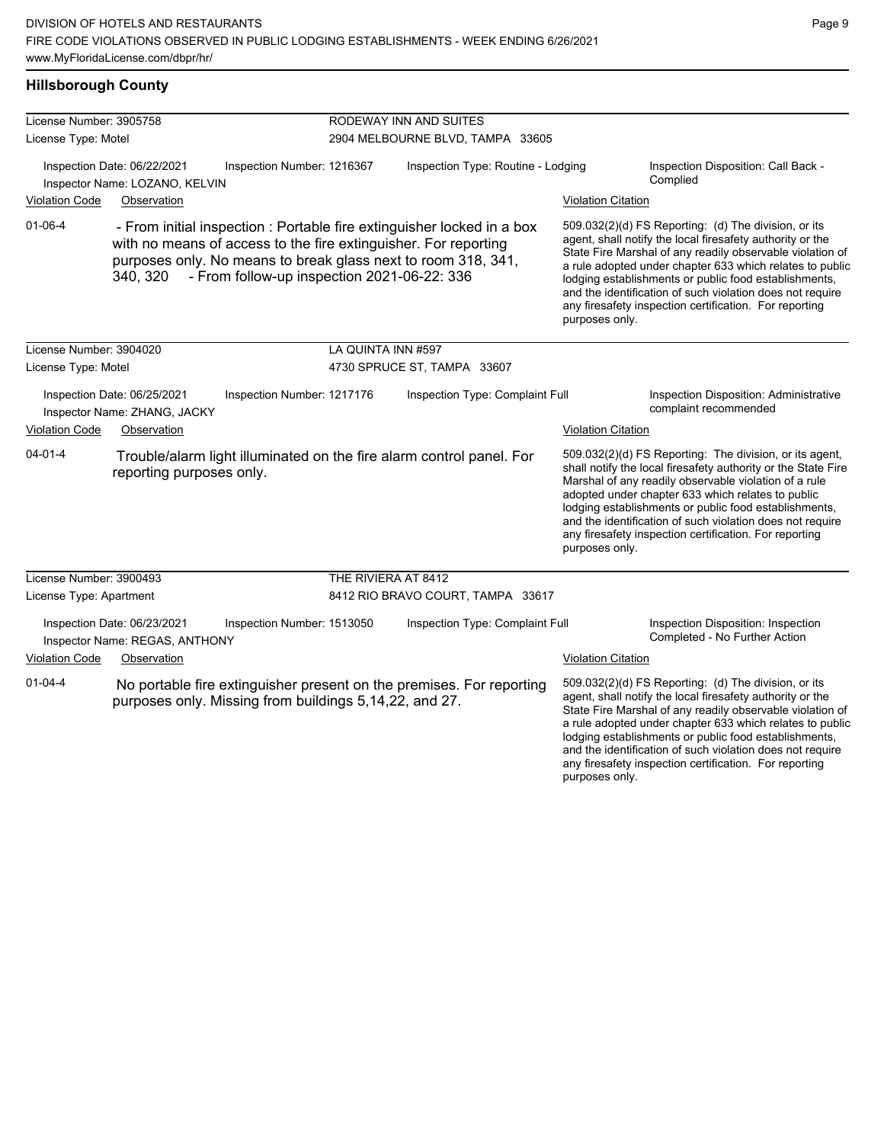### **Hillsborough County**

| License Number: 3905758 |                                                               |                                                                                                                                                                                                                                                           | <b>RODEWAY INN AND SUITES</b>      |                           |                                                                                                                                                                                                                                                                                                                                                                                                                            |
|-------------------------|---------------------------------------------------------------|-----------------------------------------------------------------------------------------------------------------------------------------------------------------------------------------------------------------------------------------------------------|------------------------------------|---------------------------|----------------------------------------------------------------------------------------------------------------------------------------------------------------------------------------------------------------------------------------------------------------------------------------------------------------------------------------------------------------------------------------------------------------------------|
| License Type: Motel     |                                                               |                                                                                                                                                                                                                                                           | 2904 MELBOURNE BLVD, TAMPA 33605   |                           |                                                                                                                                                                                                                                                                                                                                                                                                                            |
|                         | Inspection Date: 06/22/2021<br>Inspector Name: LOZANO, KELVIN | Inspection Number: 1216367                                                                                                                                                                                                                                | Inspection Type: Routine - Lodging |                           | Inspection Disposition: Call Back -<br>Complied                                                                                                                                                                                                                                                                                                                                                                            |
| <b>Violation Code</b>   | Observation                                                   |                                                                                                                                                                                                                                                           |                                    | <b>Violation Citation</b> |                                                                                                                                                                                                                                                                                                                                                                                                                            |
| $01 - 06 - 4$           | 340, 320                                                      | - From initial inspection : Portable fire extinguisher locked in a box<br>with no means of access to the fire extinguisher. For reporting<br>purposes only. No means to break glass next to room 318, 341,<br>- From follow-up inspection 2021-06-22: 336 |                                    | purposes only.            | 509.032(2)(d) FS Reporting: (d) The division, or its<br>agent, shall notify the local firesafety authority or the<br>State Fire Marshal of any readily observable violation of<br>a rule adopted under chapter 633 which relates to public<br>lodging establishments or public food establishments,<br>and the identification of such violation does not require<br>any firesafety inspection certification. For reporting |
| License Number: 3904020 |                                                               | LA QUINTA INN #597                                                                                                                                                                                                                                        |                                    |                           |                                                                                                                                                                                                                                                                                                                                                                                                                            |
| License Type: Motel     |                                                               |                                                                                                                                                                                                                                                           | 4730 SPRUCE ST, TAMPA 33607        |                           |                                                                                                                                                                                                                                                                                                                                                                                                                            |
|                         | Inspection Date: 06/25/2021<br>Inspector Name: ZHANG, JACKY   | Inspection Number: 1217176                                                                                                                                                                                                                                | Inspection Type: Complaint Full    |                           | Inspection Disposition: Administrative<br>complaint recommended                                                                                                                                                                                                                                                                                                                                                            |
| <b>Violation Code</b>   | Observation                                                   |                                                                                                                                                                                                                                                           |                                    | <b>Violation Citation</b> |                                                                                                                                                                                                                                                                                                                                                                                                                            |
| $04 - 01 - 4$           | reporting purposes only.                                      | Trouble/alarm light illuminated on the fire alarm control panel. For                                                                                                                                                                                      |                                    | purposes only.            | 509.032(2)(d) FS Reporting: The division, or its agent,<br>shall notify the local firesafety authority or the State Fire<br>Marshal of any readily observable violation of a rule<br>adopted under chapter 633 which relates to public<br>lodging establishments or public food establishments,<br>and the identification of such violation does not require<br>any firesafety inspection certification. For reporting     |
| License Number: 3900493 |                                                               | THE RIVIERA AT 8412                                                                                                                                                                                                                                       |                                    |                           |                                                                                                                                                                                                                                                                                                                                                                                                                            |
| License Type: Apartment |                                                               |                                                                                                                                                                                                                                                           | 8412 RIO BRAVO COURT, TAMPA 33617  |                           |                                                                                                                                                                                                                                                                                                                                                                                                                            |
|                         | Inspection Date: 06/23/2021<br>Inspector Name: REGAS, ANTHONY | Inspection Number: 1513050                                                                                                                                                                                                                                | Inspection Type: Complaint Full    |                           | Inspection Disposition: Inspection<br>Completed - No Further Action                                                                                                                                                                                                                                                                                                                                                        |
| <b>Violation Code</b>   | Observation                                                   |                                                                                                                                                                                                                                                           |                                    | <b>Violation Citation</b> |                                                                                                                                                                                                                                                                                                                                                                                                                            |
| $01 - 04 - 4$           |                                                               | No portable fire extinguisher present on the premises. For reporting<br>purposes only. Missing from buildings 5,14,22, and 27.                                                                                                                            |                                    |                           | 509.032(2)(d) FS Reporting: (d) The division, or its<br>agent, shall notify the local firesafety authority or the<br>State Fire Marshal of any readily observable violation of<br>a rule adopted under chapter 633 which relates to public<br>lodging establishments or public food establishments,<br>and the identification of such violation does not require                                                           |

any firesafety inspection certification. For reporting

purposes only.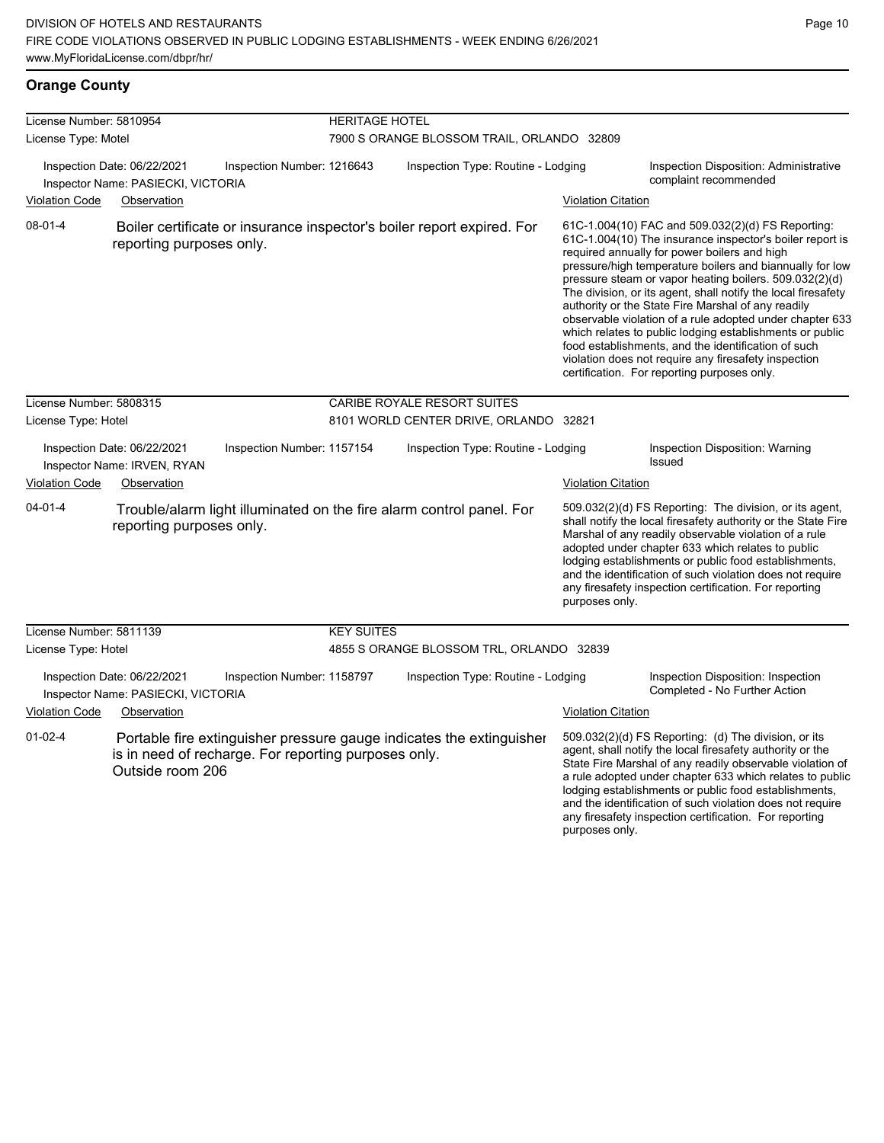| License Number: 5810954 |                                                                                  |                                                      | <b>HERITAGE HOTEL</b>                      |                                                                        |                           |                                                                                                                                                                                                                                                                                                                                                                                                                                                                                                                                                                                                                                                                                                  |  |  |
|-------------------------|----------------------------------------------------------------------------------|------------------------------------------------------|--------------------------------------------|------------------------------------------------------------------------|---------------------------|--------------------------------------------------------------------------------------------------------------------------------------------------------------------------------------------------------------------------------------------------------------------------------------------------------------------------------------------------------------------------------------------------------------------------------------------------------------------------------------------------------------------------------------------------------------------------------------------------------------------------------------------------------------------------------------------------|--|--|
| License Type: Motel     |                                                                                  |                                                      | 7900 S ORANGE BLOSSOM TRAIL, ORLANDO 32809 |                                                                        |                           |                                                                                                                                                                                                                                                                                                                                                                                                                                                                                                                                                                                                                                                                                                  |  |  |
| <b>Violation Code</b>   | Inspection Date: 06/22/2021<br>Inspector Name: PASIECKI, VICTORIA<br>Observation | Inspection Number: 1216643                           |                                            | Inspection Type: Routine - Lodging<br><b>Violation Citation</b>        |                           | Inspection Disposition: Administrative<br>complaint recommended                                                                                                                                                                                                                                                                                                                                                                                                                                                                                                                                                                                                                                  |  |  |
|                         |                                                                                  |                                                      |                                            |                                                                        |                           |                                                                                                                                                                                                                                                                                                                                                                                                                                                                                                                                                                                                                                                                                                  |  |  |
| $08 - 01 - 4$           | reporting purposes only.                                                         |                                                      |                                            | Boiler certificate or insurance inspector's boiler report expired. For |                           | 61C-1.004(10) FAC and 509.032(2)(d) FS Reporting:<br>61C-1.004(10) The insurance inspector's boiler report is<br>required annually for power boilers and high<br>pressure/high temperature boilers and biannually for low<br>pressure steam or vapor heating boilers. 509.032(2)(d)<br>The division, or its agent, shall notify the local firesafety<br>authority or the State Fire Marshal of any readily<br>observable violation of a rule adopted under chapter 633<br>which relates to public lodging establishments or public<br>food establishments, and the identification of such<br>violation does not require any firesafety inspection<br>certification. For reporting purposes only. |  |  |
| License Number: 5808315 |                                                                                  |                                                      |                                            | CARIBE ROYALE RESORT SUITES                                            |                           |                                                                                                                                                                                                                                                                                                                                                                                                                                                                                                                                                                                                                                                                                                  |  |  |
| License Type: Hotel     |                                                                                  |                                                      | 8101 WORLD CENTER DRIVE, ORLANDO 32821     |                                                                        |                           |                                                                                                                                                                                                                                                                                                                                                                                                                                                                                                                                                                                                                                                                                                  |  |  |
|                         | Inspection Date: 06/22/2021<br>Inspector Name: IRVEN, RYAN                       | Inspection Number: 1157154                           |                                            | Inspection Type: Routine - Lodging                                     |                           | Inspection Disposition: Warning<br><b>Issued</b>                                                                                                                                                                                                                                                                                                                                                                                                                                                                                                                                                                                                                                                 |  |  |
| <b>Violation Code</b>   | Observation                                                                      |                                                      |                                            |                                                                        | <b>Violation Citation</b> |                                                                                                                                                                                                                                                                                                                                                                                                                                                                                                                                                                                                                                                                                                  |  |  |
| $04 - 01 - 4$           | reporting purposes only.                                                         |                                                      |                                            | Trouble/alarm light illuminated on the fire alarm control panel. For   | purposes only.            | 509.032(2)(d) FS Reporting: The division, or its agent,<br>shall notify the local firesafety authority or the State Fire<br>Marshal of any readily observable violation of a rule<br>adopted under chapter 633 which relates to public<br>lodging establishments or public food establishments,<br>and the identification of such violation does not require<br>any firesafety inspection certification. For reporting                                                                                                                                                                                                                                                                           |  |  |
| License Number: 5811139 |                                                                                  |                                                      | <b>KEY SUITES</b>                          |                                                                        |                           |                                                                                                                                                                                                                                                                                                                                                                                                                                                                                                                                                                                                                                                                                                  |  |  |
| License Type: Hotel     |                                                                                  |                                                      |                                            | 4855 S ORANGE BLOSSOM TRL, ORLANDO 32839                               |                           |                                                                                                                                                                                                                                                                                                                                                                                                                                                                                                                                                                                                                                                                                                  |  |  |
|                         | Inspection Date: 06/22/2021<br>Inspector Name: PASIECKI, VICTORIA                | Inspection Number: 1158797                           |                                            | Inspection Type: Routine - Lodging                                     |                           | Inspection Disposition: Inspection<br>Completed - No Further Action                                                                                                                                                                                                                                                                                                                                                                                                                                                                                                                                                                                                                              |  |  |
| <b>Violation Code</b>   | Observation                                                                      |                                                      |                                            |                                                                        | <b>Violation Citation</b> |                                                                                                                                                                                                                                                                                                                                                                                                                                                                                                                                                                                                                                                                                                  |  |  |
| $01 - 02 - 4$           | Outside room 206                                                                 | is in need of recharge. For reporting purposes only. |                                            | Portable fire extinguisher pressure gauge indicates the extinguisher   | purposes only.            | 509.032(2)(d) FS Reporting: (d) The division, or its<br>agent, shall notify the local firesafety authority or the<br>State Fire Marshal of any readily observable violation of<br>a rule adopted under chapter 633 which relates to public<br>lodging establishments or public food establishments,<br>and the identification of such violation does not require<br>any firesafety inspection certification. For reporting                                                                                                                                                                                                                                                                       |  |  |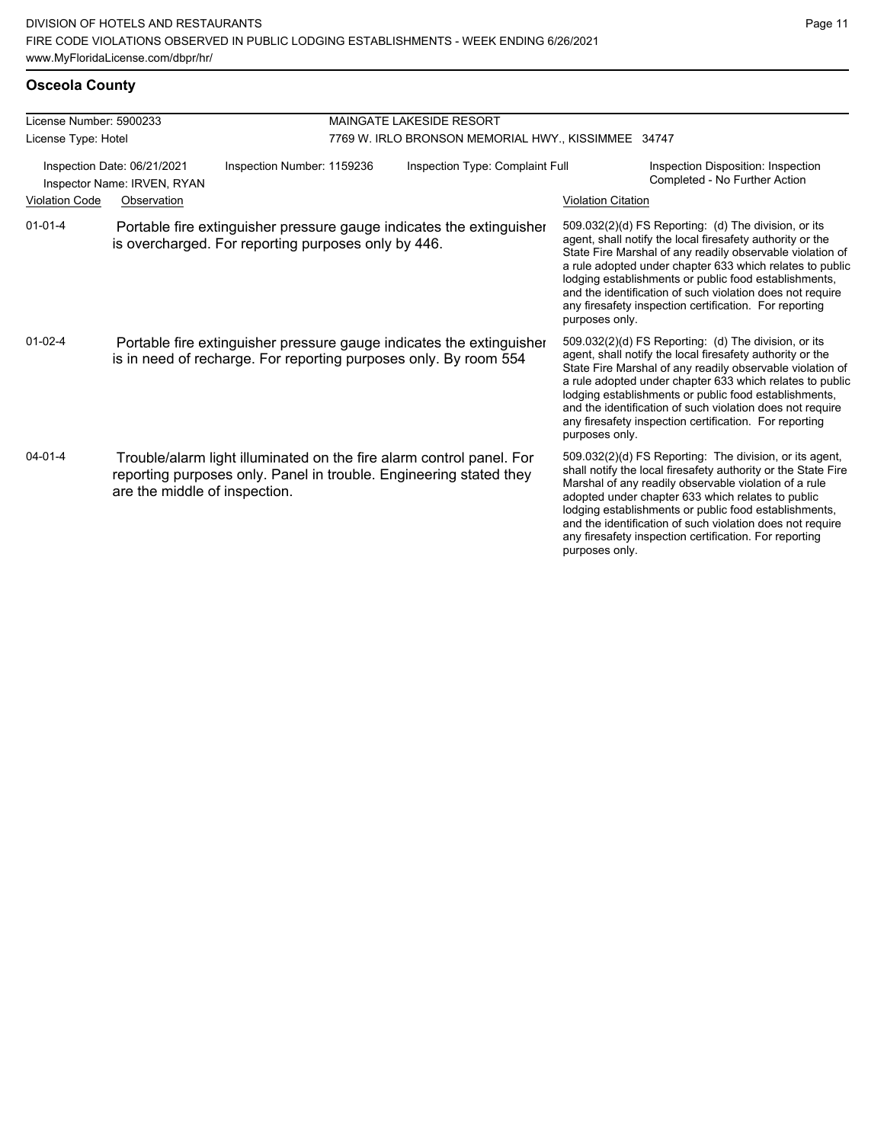| License Number: 5900233                                    |                               |                                                                                                                                            | <b>MAINGATE LAKESIDE RESORT</b>                     |                                                                                                                                                                                                                                                                                                                                                                                                                                              |  |  |  |
|------------------------------------------------------------|-------------------------------|--------------------------------------------------------------------------------------------------------------------------------------------|-----------------------------------------------------|----------------------------------------------------------------------------------------------------------------------------------------------------------------------------------------------------------------------------------------------------------------------------------------------------------------------------------------------------------------------------------------------------------------------------------------------|--|--|--|
| License Type: Hotel                                        |                               |                                                                                                                                            | 7769 W. IRLO BRONSON MEMORIAL HWY., KISSIMMEE 34747 |                                                                                                                                                                                                                                                                                                                                                                                                                                              |  |  |  |
| Inspection Date: 06/21/2021<br>Inspector Name: IRVEN, RYAN |                               | Inspection Number: 1159236                                                                                                                 | Inspection Type: Complaint Full                     | Inspection Disposition: Inspection<br>Completed - No Further Action                                                                                                                                                                                                                                                                                                                                                                          |  |  |  |
| <b>Violation Code</b>                                      | Observation                   |                                                                                                                                            |                                                     | <b>Violation Citation</b>                                                                                                                                                                                                                                                                                                                                                                                                                    |  |  |  |
| $01 - 01 - 4$                                              |                               | Portable fire extinguisher pressure gauge indicates the extinguisher<br>is overcharged. For reporting purposes only by 446.                |                                                     | 509.032(2)(d) FS Reporting: (d) The division, or its<br>agent, shall notify the local firesafety authority or the<br>State Fire Marshal of any readily observable violation of<br>a rule adopted under chapter 633 which relates to public<br>lodging establishments or public food establishments,<br>and the identification of such violation does not require<br>any firesafety inspection certification. For reporting<br>purposes only. |  |  |  |
| $01 - 02 - 4$                                              |                               | Portable fire extinguisher pressure gauge indicates the extinguisher<br>is in need of recharge. For reporting purposes only. By room 554   |                                                     | 509.032(2)(d) FS Reporting: (d) The division, or its<br>agent, shall notify the local firesafety authority or the<br>State Fire Marshal of any readily observable violation of<br>a rule adopted under chapter 633 which relates to public<br>lodging establishments or public food establishments,<br>and the identification of such violation does not require<br>any firesafety inspection certification. For reporting<br>purposes only. |  |  |  |
| $04 - 01 - 4$                                              | are the middle of inspection. | Trouble/alarm light illuminated on the fire alarm control panel. For<br>reporting purposes only. Panel in trouble. Engineering stated they |                                                     | 509.032(2)(d) FS Reporting: The division, or its agent,<br>shall notify the local firesafety authority or the State Fire<br>Marshal of any readily observable violation of a rule<br>adopted under chapter 633 which relates to public<br>lodging establishments or public food establishments,<br>and the identification of such violation does not require<br>any firesafety inspection certification. For reporting<br>purposes only.     |  |  |  |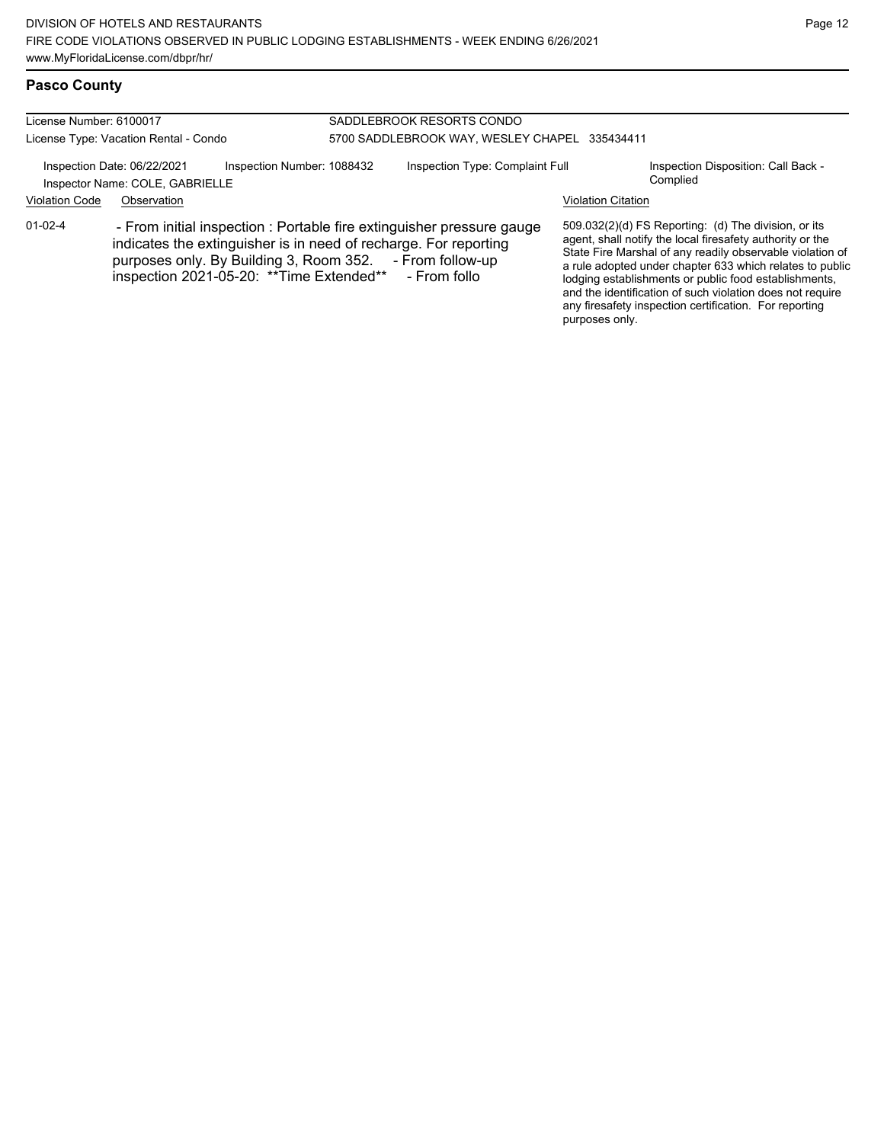### **Pasco County**

| License Number: 6100017               |                                                                |                                                                                                       | SADDLEBROOK RESORTS CONDO                                                                                                                                 |                           |                                                                                                                                                                                                                                                                                                                                                                                                                            |  |
|---------------------------------------|----------------------------------------------------------------|-------------------------------------------------------------------------------------------------------|-----------------------------------------------------------------------------------------------------------------------------------------------------------|---------------------------|----------------------------------------------------------------------------------------------------------------------------------------------------------------------------------------------------------------------------------------------------------------------------------------------------------------------------------------------------------------------------------------------------------------------------|--|
| License Type: Vacation Rental - Condo |                                                                | 5700 SADDLEBROOK WAY, WESLEY CHAPEL 335434411                                                         |                                                                                                                                                           |                           |                                                                                                                                                                                                                                                                                                                                                                                                                            |  |
|                                       | Inspection Date: 06/22/2021<br>Inspector Name: COLE, GABRIELLE | Inspection Number: 1088432                                                                            | Inspection Type: Complaint Full                                                                                                                           |                           | Inspection Disposition: Call Back -<br>Complied                                                                                                                                                                                                                                                                                                                                                                            |  |
| <b>Violation Code</b>                 | Observation                                                    |                                                                                                       |                                                                                                                                                           | <b>Violation Citation</b> |                                                                                                                                                                                                                                                                                                                                                                                                                            |  |
| $01 - 02 - 4$                         |                                                                | purposes only. By Building 3, Room 352. - From follow-up<br>inspection 2021-05-20: ** Time Extended** | - From initial inspection : Portable fire extinguisher pressure gauge<br>indicates the extinguisher is in need of recharge. For reporting<br>- From follo | purposes only.            | 509.032(2)(d) FS Reporting: (d) The division, or its<br>agent, shall notify the local firesafety authority or the<br>State Fire Marshal of any readily observable violation of<br>a rule adopted under chapter 633 which relates to public<br>lodging establishments or public food establishments,<br>and the identification of such violation does not require<br>any firesafety inspection certification. For reporting |  |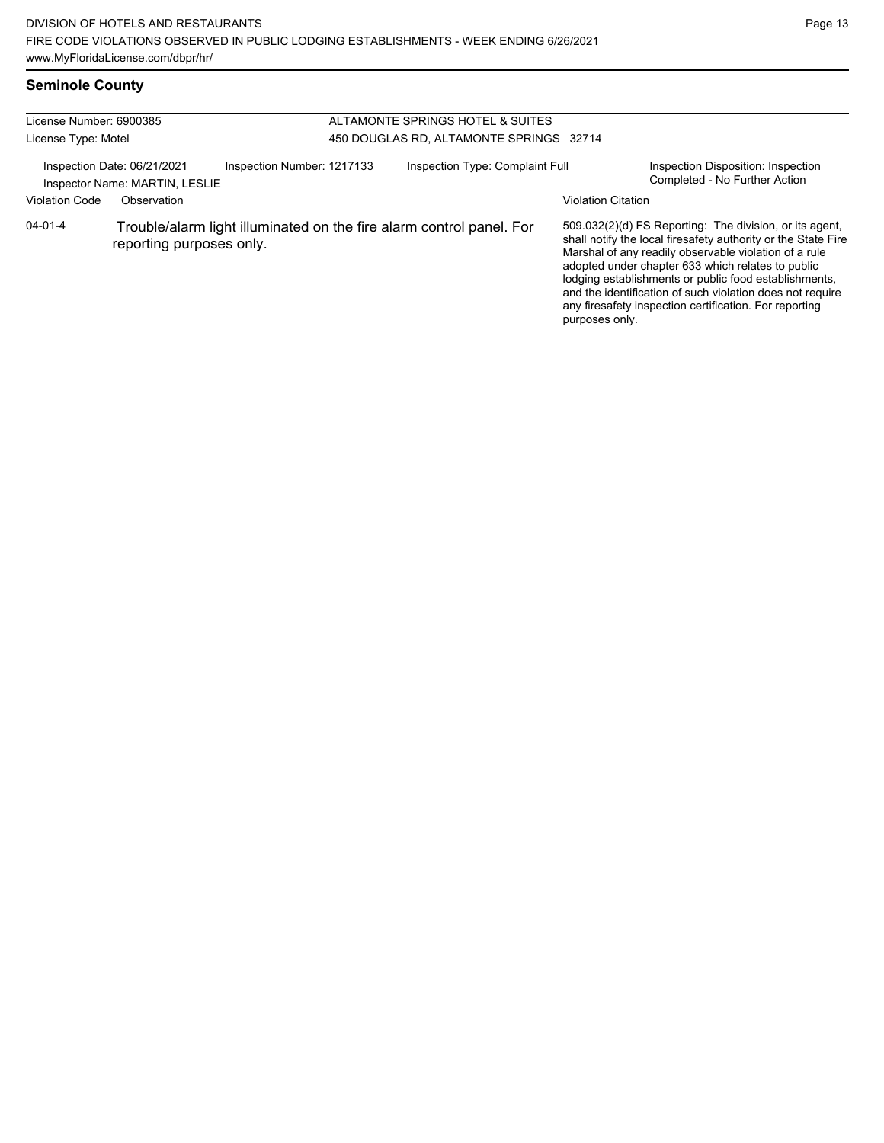# **Seminole County**

| License Number: 6900385 |                                                               |                                         |  | ALTAMONTE SPRINGS HOTEL & SUITES                                     |                           |                                                                                                                                                                                                                                                                                                                                                                                                                        |
|-------------------------|---------------------------------------------------------------|-----------------------------------------|--|----------------------------------------------------------------------|---------------------------|------------------------------------------------------------------------------------------------------------------------------------------------------------------------------------------------------------------------------------------------------------------------------------------------------------------------------------------------------------------------------------------------------------------------|
| License Type: Motel     |                                                               | 450 DOUGLAS RD, ALTAMONTE SPRINGS 32714 |  |                                                                      |                           |                                                                                                                                                                                                                                                                                                                                                                                                                        |
|                         | Inspection Date: 06/21/2021<br>Inspector Name: MARTIN, LESLIE | Inspection Number: 1217133              |  | Inspection Type: Complaint Full                                      |                           | Inspection Disposition: Inspection<br>Completed - No Further Action                                                                                                                                                                                                                                                                                                                                                    |
| <b>Violation Code</b>   | Observation                                                   |                                         |  |                                                                      | <b>Violation Citation</b> |                                                                                                                                                                                                                                                                                                                                                                                                                        |
| $04 - 01 - 4$           | reporting purposes only.                                      |                                         |  | Trouble/alarm light illuminated on the fire alarm control panel. For | purposes only.            | 509.032(2)(d) FS Reporting: The division, or its agent,<br>shall notify the local firesafety authority or the State Fire<br>Marshal of any readily observable violation of a rule<br>adopted under chapter 633 which relates to public<br>lodging establishments or public food establishments,<br>and the identification of such violation does not require<br>any firesafety inspection certification. For reporting |